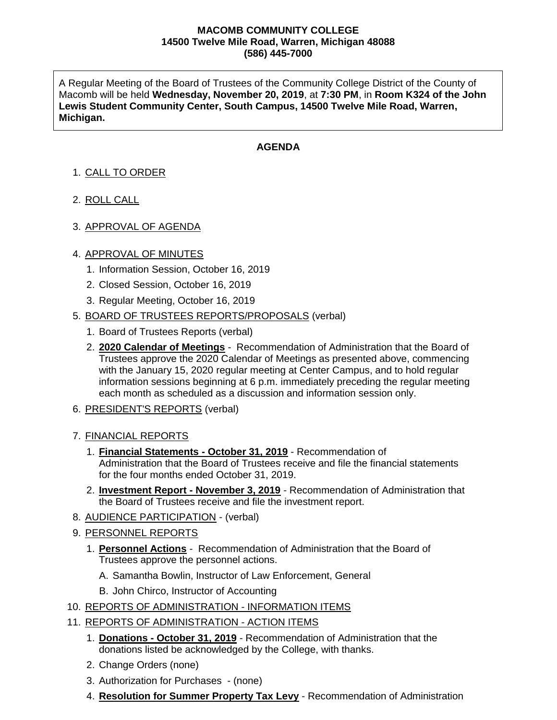## **MACOMB COMMUNITY COLLEGE 14500 Twelve Mile Road, Warren, Michigan 48088 (586) 445-7000**

A Regular Meeting of the Board of Trustees of the Community College District of the County of Macomb will be held **Wednesday, November 20, 2019**, at **7:30 PM**, in **Room K324 of the John Lewis Student Community Center, South Campus, 14500 Twelve Mile Road, Warren, Michigan.**

## **AGENDA**

## 1. CALL TO ORDER

- 2. ROLL CALL
- 3. APPROVAL OF AGENDA

## 4. APPROVAL OF MINUTES

- 1. Information Session, October 16, 2019
- 2. Closed Session, October 16, 2019
- 3. Regular Meeting, October 16, 2019
- 5. BOARD OF TRUSTEES REPORTS/PROPOSALS (verbal)
	- 1. Board of Trustees Reports (verbal)
	- 2. **2020 Calendar of Meetings** Recommendation of Administration that the Board of Trustees approve the 2020 Calendar of Meetings as presented above, commencing with the January 15, 2020 regular meeting at Center Campus, and to hold regular information sessions beginning at 6 p.m. immediately preceding the regular meeting each month as scheduled as a discussion and information session only.
- 6. PRESIDENT'S REPORTS (verbal)
- 7. FINANCIAL REPORTS
	- 1. **Financial Statements - October 31, 2019** Recommendation of Administration that the Board of Trustees receive and file the financial statements for the four months ended October 31, 2019.
	- 2. **Investment Report - November 3, 2019** Recommendation of Administration that the Board of Trustees receive and file the investment report.
- 8. AUDIENCE PARTICIPATION (verbal)
- 9. PERSONNEL REPORTS
	- 1. **Personnel Actions** Recommendation of Administration that the Board of Trustees approve the personnel actions.
		- A. Samantha Bowlin, Instructor of Law Enforcement, General
		- B. John Chirco, Instructor of Accounting
- 10. REPORTS OF ADMINISTRATION INFORMATION ITEMS
- 11. REPORTS OF ADMINISTRATION ACTION ITEMS
	- 1. **Donations - October 31, 2019** Recommendation of Administration that the donations listed be acknowledged by the College, with thanks.
	- 2. Change Orders (none)
	- 3. Authorization for Purchases (none)
	- 4. **Resolution for Summer Property Tax Levy** Recommendation of Administration